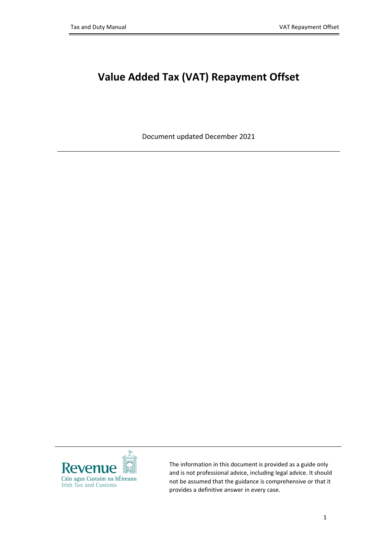## **Value Added Tax (VAT) Repayment Offset**

Document updated December 2021



The information in this document is provided as a guide only and is not professional advice, including legal advice. It should not be assumed that the guidance is comprehensive or that it provides a definitive answer in every case.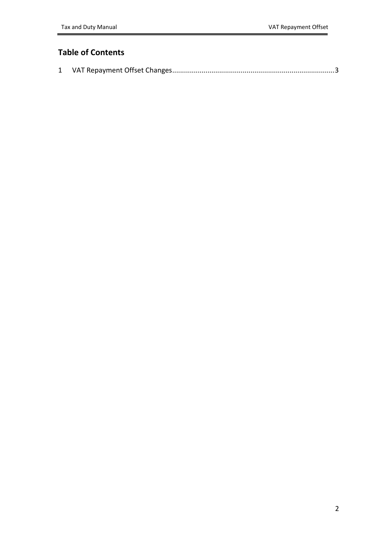## **Table of Contents**

|--|--|--|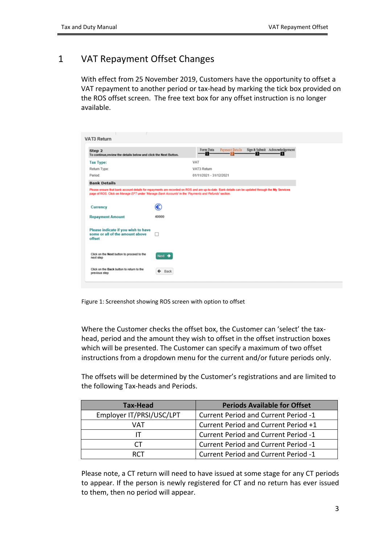## <span id="page-2-0"></span>1 VAT Repayment Offset Changes

With effect from 25 November 2019, Customers have the opportunity to offset a VAT repayment to another period or tax-head by marking the tick box provided on the ROS offset screen. The free text box for any offset instruction is no longer available.

| VAT3 Return                                                                                                                                                                                                                                                |                    |                         |                        |      |                                    |
|------------------------------------------------------------------------------------------------------------------------------------------------------------------------------------------------------------------------------------------------------------|--------------------|-------------------------|------------------------|------|------------------------------------|
| Step 2<br>To continue, review the details below and click the Next Button.                                                                                                                                                                                 |                    | Form Data<br>-0         | <b>Payment Details</b> | - 81 | Sign & Submit Acknowledgement<br>п |
| <b>Tax Type:</b>                                                                                                                                                                                                                                           |                    | VAT                     |                        |      |                                    |
| Return Type:                                                                                                                                                                                                                                               |                    | VAT3 Return             |                        |      |                                    |
| Period:                                                                                                                                                                                                                                                    |                    | 01/11/2021 - 31/12/2021 |                        |      |                                    |
| <b>Bank Details</b>                                                                                                                                                                                                                                        |                    |                         |                        |      |                                    |
| Please ensure that bank account details for repayments are recorded on ROS and are up-to-date. Bank details can be updated through the My Services<br>page of ROS. Click on Manage EFT under 'Manage Bank Accounts' in the 'Payments and Refunds' section. |                    |                         |                        |      |                                    |
| Currency                                                                                                                                                                                                                                                   | €                  |                         |                        |      |                                    |
| <b>Repayment Amount</b>                                                                                                                                                                                                                                    | 40000              |                         |                        |      |                                    |
| Please indicate if you wish to have<br>some or all of the amount above<br>offset                                                                                                                                                                           | U                  |                         |                        |      |                                    |
| Click on the Next button to proceed to the<br>next step                                                                                                                                                                                                    | Next $\rightarrow$ |                         |                        |      |                                    |
| Click on the Back button to return to the<br>previous step                                                                                                                                                                                                 | Back<br>۰          |                         |                        |      |                                    |
|                                                                                                                                                                                                                                                            |                    |                         |                        |      |                                    |

Figure 1: Screenshot showing ROS screen with option to offset

Where the Customer checks the offset box, the Customer can 'select' the taxhead, period and the amount they wish to offset in the offset instruction boxes which will be presented. The Customer can specify a maximum of two offset instructions from a dropdown menu for the current and/or future periods only.

The offsets will be determined by the Customer's registrations and are limited to the following Tax-heads and Periods.

| Tax-Head                 | <b>Periods Available for Offset</b>         |
|--------------------------|---------------------------------------------|
| Employer IT/PRSI/USC/LPT | <b>Current Period and Current Period -1</b> |
| VAT                      | Current Period and Current Period +1        |
|                          | <b>Current Period and Current Period -1</b> |
| CТ                       | <b>Current Period and Current Period -1</b> |
| ד־וא                     | <b>Current Period and Current Period -1</b> |

Please note, a CT return will need to have issued at some stage for any CT periods to appear. If the person is newly registered for CT and no return has ever issued to them, then no period will appear.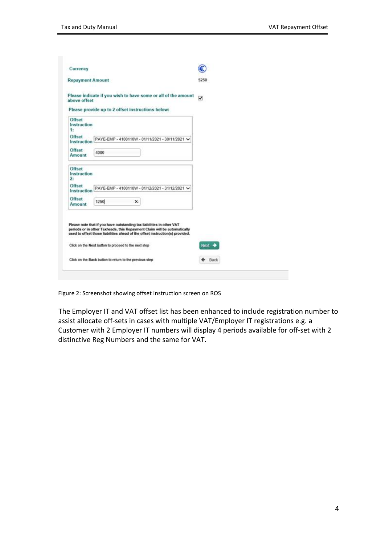| Currency                                |                                                                                                                                                                                                                                                                                            |        |
|-----------------------------------------|--------------------------------------------------------------------------------------------------------------------------------------------------------------------------------------------------------------------------------------------------------------------------------------------|--------|
| <b>Repayment Amount</b>                 |                                                                                                                                                                                                                                                                                            | 5250   |
| above offset                            | Please indicate if you wish to have some or all of the amount<br>Please provide up to 2 offset instructions below:                                                                                                                                                                         | ☑      |
| <b>Offset</b><br>Instruction<br>1:      |                                                                                                                                                                                                                                                                                            |        |
| <b>Offset</b><br>Instruction            | PAYE-EMP - 4100110W - 01/11/2021 - 30/11/2021 V                                                                                                                                                                                                                                            |        |
| <b>Offset</b><br>Amount                 | 4000                                                                                                                                                                                                                                                                                       |        |
| Offset<br>Instruction<br>$\overline{2}$ |                                                                                                                                                                                                                                                                                            |        |
| <b>Offset</b><br>Instruction            | PAYE-EMP - 4100110W - 01/12/2021 - 31/12/2021 V                                                                                                                                                                                                                                            |        |
| <b>Offset</b><br>Amount                 | 1250<br>×                                                                                                                                                                                                                                                                                  |        |
|                                         | Please note that if you have outstanding tax liabilities in other VAT<br>periods or in other Taxheads, this Repayment Claim will be automatically<br>used to offset those liabilities ahead of the offset instruction(s) provided.<br>Click on the Next button to proceed to the next step | Next = |
|                                         |                                                                                                                                                                                                                                                                                            |        |

Figure 2: Screenshot showing offset instruction screen on ROS

The Employer IT and VAT offset list has been enhanced to include registration number to assist allocate off-sets in cases with multiple VAT/Employer IT registrations e.g. a Customer with 2 Employer IT numbers will display 4 periods available for off-set with 2 distinctive Reg Numbers and the same for VAT.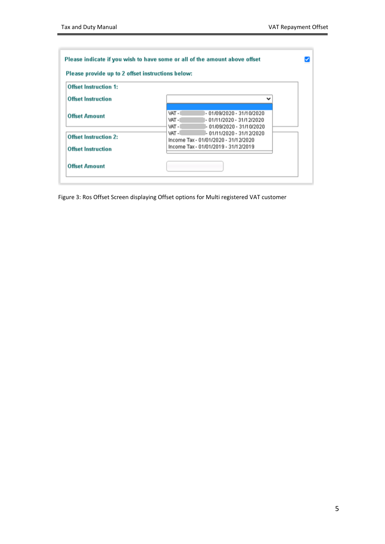| <b>Offset Instruction 1:</b> |                                                                                                                |  |
|------------------------------|----------------------------------------------------------------------------------------------------------------|--|
| <b>Offset Instruction</b>    |                                                                                                                |  |
| <b>Offset Amount</b>         | VAT-I<br>- 01/09/2020 - 31/10/2020<br>VAT-I<br>- 01/11/2020 - 31/12/2020<br>VAT-I<br>- 01/09/2020 - 31/10/2020 |  |
| <b>Offset Instruction 2:</b> | VAT-I<br>- 01/11/2020 - 31/12/2020<br>Income Tax - 01/01/2020 - 31/12/2020                                     |  |
| <b>Offset Instruction</b>    | Income Tax - 01/01/2019 - 31/12/2019                                                                           |  |

Figure 3: Ros Offset Screen displaying Offset options for Multi registered VAT customer